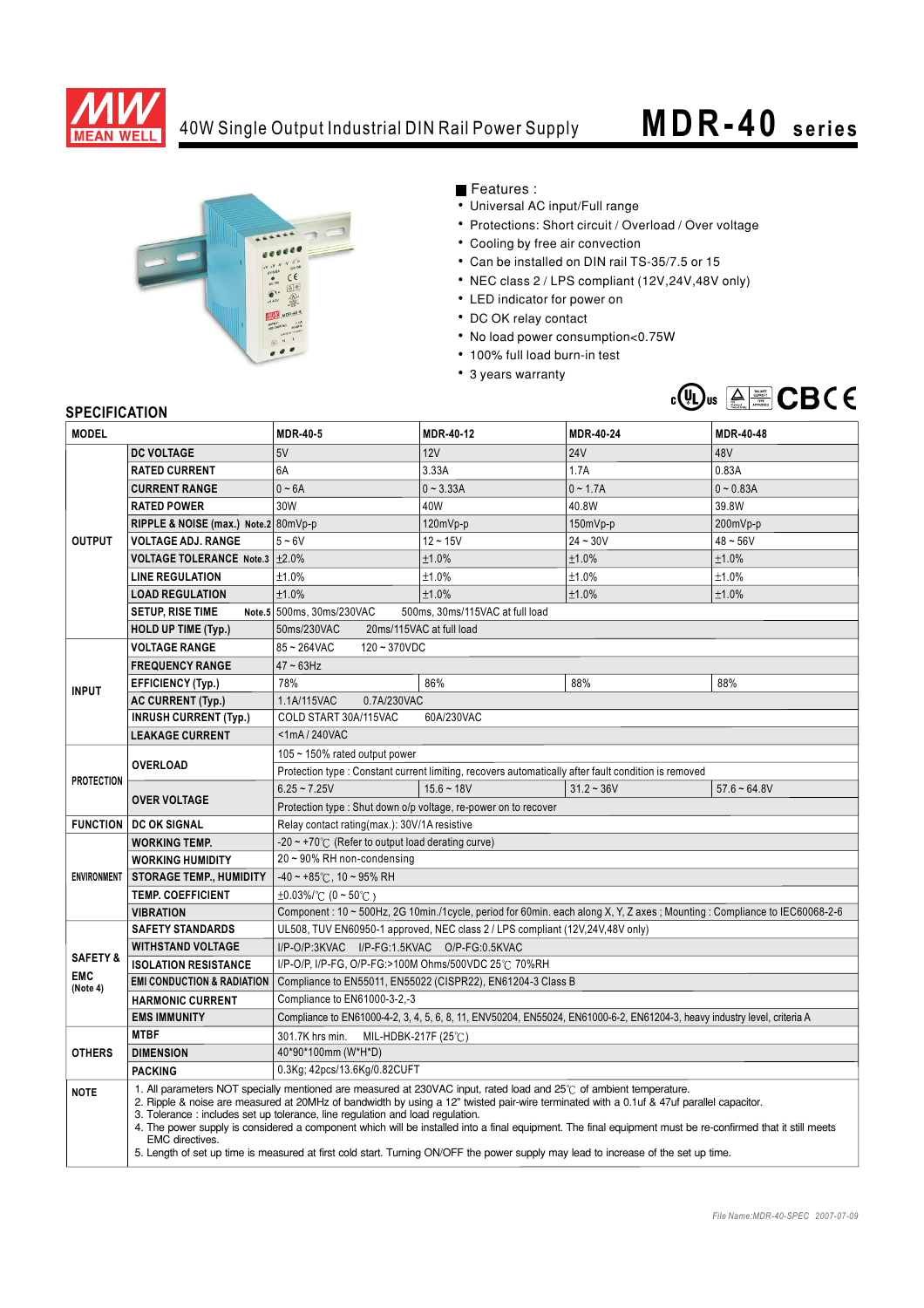

## 40W Single Output Industrial DIN Rail Power Supply **MDR-40** series



Features :

- Universal AC input/Full range
- Protections: Short circuit / Overload / Over voltage
- Cooling by free air convection
- Can be installed on DIN rail TS-35/7.5 or 15
- NEC class 2 / LPS compliant (12V,24V,48V only)
- LED indicator for power on
- DC OK relay contact
- No load power consumption<0.75W
- 100% full load burn-in test
- 3 years warranty



## **SPECIFICATION**

| יוטוווטם ושם וט<br><b>MODEL</b>               |                                                                                                                                                                                                                                                                                                                                                                                                                                                                                                                                                  | <b>MDR-40-5</b>                                                                                                             | MDR-40-12    | <b>MDR-40-24</b>                                                                                     | <b>MDR-40-48</b> |
|-----------------------------------------------|--------------------------------------------------------------------------------------------------------------------------------------------------------------------------------------------------------------------------------------------------------------------------------------------------------------------------------------------------------------------------------------------------------------------------------------------------------------------------------------------------------------------------------------------------|-----------------------------------------------------------------------------------------------------------------------------|--------------|------------------------------------------------------------------------------------------------------|------------------|
|                                               | <b>DC VOLTAGE</b>                                                                                                                                                                                                                                                                                                                                                                                                                                                                                                                                | 5V                                                                                                                          | 12V          | <b>24V</b>                                                                                           | 48V              |
| <b>OUTPUT</b>                                 | <b>RATED CURRENT</b>                                                                                                                                                                                                                                                                                                                                                                                                                                                                                                                             | 6A                                                                                                                          | 3.33A        | 1.7A                                                                                                 | 0.83A            |
|                                               | <b>CURRENT RANGE</b>                                                                                                                                                                                                                                                                                                                                                                                                                                                                                                                             | $0 - 6A$                                                                                                                    | $0 - 3.33A$  | $0 - 1.7A$                                                                                           | $0 - 0.83A$      |
|                                               | <b>RATED POWER</b>                                                                                                                                                                                                                                                                                                                                                                                                                                                                                                                               | 30W                                                                                                                         | 40W          | 40.8W                                                                                                | 39.8W            |
|                                               | RIPPLE & NOISE (max.) Note.2 80mVp-p                                                                                                                                                                                                                                                                                                                                                                                                                                                                                                             |                                                                                                                             | 120mVp-p     | 150mVp-p                                                                                             | 200mVp-p         |
|                                               | <b>VOLTAGE ADJ. RANGE</b>                                                                                                                                                                                                                                                                                                                                                                                                                                                                                                                        | $5 - 6V$                                                                                                                    | $12 - 15V$   | $24 - 30V$                                                                                           | $48 - 56V$       |
|                                               | VOLTAGE TOLERANCE Note.3 +2.0%                                                                                                                                                                                                                                                                                                                                                                                                                                                                                                                   |                                                                                                                             | ±1.0%        | ±1.0%                                                                                                | ±1.0%            |
|                                               | <b>LINE REGULATION</b>                                                                                                                                                                                                                                                                                                                                                                                                                                                                                                                           | ±1.0%                                                                                                                       | ±1.0%        | ±1.0%                                                                                                | ±1.0%            |
|                                               | <b>LOAD REGULATION</b>                                                                                                                                                                                                                                                                                                                                                                                                                                                                                                                           | ±1.0%                                                                                                                       | ±1.0%        | ±1.0%                                                                                                | ±1.0%            |
|                                               | <b>SETUP, RISE TIME</b>                                                                                                                                                                                                                                                                                                                                                                                                                                                                                                                          | Note.5 500ms, 30ms/230VAC<br>500ms, 30ms/115VAC at full load                                                                |              |                                                                                                      |                  |
|                                               | <b>HOLD UP TIME (Typ.)</b>                                                                                                                                                                                                                                                                                                                                                                                                                                                                                                                       | 20ms/115VAC at full load<br>50ms/230VAC                                                                                     |              |                                                                                                      |                  |
| <b>INPUT</b>                                  | <b>VOLTAGE RANGE</b>                                                                                                                                                                                                                                                                                                                                                                                                                                                                                                                             | 85~264VAC<br>$120 - 370VDC$                                                                                                 |              |                                                                                                      |                  |
|                                               | <b>FREQUENCY RANGE</b>                                                                                                                                                                                                                                                                                                                                                                                                                                                                                                                           | $47 \sim 63$ Hz                                                                                                             |              |                                                                                                      |                  |
|                                               | <b>EFFICIENCY (Typ.)</b>                                                                                                                                                                                                                                                                                                                                                                                                                                                                                                                         | 78%                                                                                                                         | 86%          | 88%                                                                                                  | 88%              |
|                                               | <b>AC CURRENT (Typ.)</b>                                                                                                                                                                                                                                                                                                                                                                                                                                                                                                                         | 1.1A/115VAC<br>0.7A/230VAC                                                                                                  |              |                                                                                                      |                  |
|                                               | <b>INRUSH CURRENT (Typ.)</b>                                                                                                                                                                                                                                                                                                                                                                                                                                                                                                                     | COLD START 30A/115VAC<br>60A/230VAC                                                                                         |              |                                                                                                      |                  |
|                                               | <b>LEAKAGE CURRENT</b>                                                                                                                                                                                                                                                                                                                                                                                                                                                                                                                           | $<$ 1mA/240VAC                                                                                                              |              |                                                                                                      |                  |
| <b>PROTECTION</b>                             | <b>OVERLOAD</b>                                                                                                                                                                                                                                                                                                                                                                                                                                                                                                                                  | 105 ~ 150% rated output power                                                                                               |              |                                                                                                      |                  |
|                                               |                                                                                                                                                                                                                                                                                                                                                                                                                                                                                                                                                  |                                                                                                                             |              | Protection type : Constant current limiting, recovers automatically after fault condition is removed |                  |
|                                               | <b>OVER VOLTAGE</b>                                                                                                                                                                                                                                                                                                                                                                                                                                                                                                                              | $6.25 - 7.25V$                                                                                                              | $15.6 - 18V$ | $31.2 - 36V$                                                                                         | $57.6 - 64.8V$   |
|                                               |                                                                                                                                                                                                                                                                                                                                                                                                                                                                                                                                                  | Protection type: Shut down o/p voltage, re-power on to recover                                                              |              |                                                                                                      |                  |
| <b>FUNCTION</b>                               | <b>DC OK SIGNAL</b>                                                                                                                                                                                                                                                                                                                                                                                                                                                                                                                              | Relay contact rating(max.): 30V/1A resistive                                                                                |              |                                                                                                      |                  |
| <b>ENVIRONMENT</b>                            | <b>WORKING TEMP.</b>                                                                                                                                                                                                                                                                                                                                                                                                                                                                                                                             | $-20 \sim +70^{\circ}$ (Refer to output load derating curve)                                                                |              |                                                                                                      |                  |
|                                               | <b>WORKING HUMIDITY</b>                                                                                                                                                                                                                                                                                                                                                                                                                                                                                                                          | 20~90% RH non-condensing                                                                                                    |              |                                                                                                      |                  |
|                                               | <b>STORAGE TEMP., HUMIDITY</b>                                                                                                                                                                                                                                                                                                                                                                                                                                                                                                                   | $-40 \sim +85^{\circ}$ C, 10 ~ 95% RH                                                                                       |              |                                                                                                      |                  |
|                                               | <b>TEMP. COEFFICIENT</b>                                                                                                                                                                                                                                                                                                                                                                                                                                                                                                                         | $\pm 0.03\%$ (0 ~ 50°C)                                                                                                     |              |                                                                                                      |                  |
|                                               | <b>VIBRATION</b>                                                                                                                                                                                                                                                                                                                                                                                                                                                                                                                                 | Component : 10 ~ 500Hz, 2G 10min./1cycle, period for 60min. each along X, Y, Z axes ; Mounting : Compliance to IEC60068-2-6 |              |                                                                                                      |                  |
| <b>SAFETY &amp;</b><br><b>EMC</b><br>(Note 4) | <b>SAFETY STANDARDS</b>                                                                                                                                                                                                                                                                                                                                                                                                                                                                                                                          | UL508, TUV EN60950-1 approved, NEC class 2 / LPS compliant (12V, 24V, 48V only)                                             |              |                                                                                                      |                  |
|                                               | <b>WITHSTAND VOLTAGE</b><br><b>ISOLATION RESISTANCE</b>                                                                                                                                                                                                                                                                                                                                                                                                                                                                                          | I/P-O/P:3KVAC I/P-FG:1.5KVAC O/P-FG:0.5KVAC<br>I/P-O/P, I/P-FG, O/P-FG:>100M Ohms/500VDC 25°C 70%RH                         |              |                                                                                                      |                  |
|                                               | <b>EMI CONDUCTION &amp; RADIATION</b>                                                                                                                                                                                                                                                                                                                                                                                                                                                                                                            | Compliance to EN55011, EN55022 (CISPR22), EN61204-3 Class B                                                                 |              |                                                                                                      |                  |
|                                               | <b>HARMONIC CURRENT</b>                                                                                                                                                                                                                                                                                                                                                                                                                                                                                                                          | Compliance to EN61000-3-2,-3                                                                                                |              |                                                                                                      |                  |
|                                               | <b>EMS IMMUNITY</b>                                                                                                                                                                                                                                                                                                                                                                                                                                                                                                                              | Compliance to EN61000-4-2, 3, 4, 5, 6, 8, 11, ENV50204, EN55024, EN61000-6-2, EN61204-3, heavy industry level, criteria A   |              |                                                                                                      |                  |
|                                               | <b>MTBF</b>                                                                                                                                                                                                                                                                                                                                                                                                                                                                                                                                      | 301.7K hrs min.<br>MIL-HDBK-217F (25 $°C$ )                                                                                 |              |                                                                                                      |                  |
| <b>OTHERS</b>                                 | <b>DIMENSION</b>                                                                                                                                                                                                                                                                                                                                                                                                                                                                                                                                 | 40*90*100mm (W*H*D)                                                                                                         |              |                                                                                                      |                  |
|                                               | <b>PACKING</b>                                                                                                                                                                                                                                                                                                                                                                                                                                                                                                                                   | 0.3Kg; 42pcs/13.6Kg/0.82CUFT                                                                                                |              |                                                                                                      |                  |
|                                               |                                                                                                                                                                                                                                                                                                                                                                                                                                                                                                                                                  | 1. All parameters NOT specially mentioned are measured at 230VAC input, rated load and 25°C of ambient temperature.         |              |                                                                                                      |                  |
| <b>NOTE</b>                                   | 2. Ripple & noise are measured at 20MHz of bandwidth by using a 12" twisted pair-wire terminated with a 0.1uf & 47uf parallel capacitor.<br>3. Tolerance: includes set up tolerance, line regulation and load regulation.<br>4. The power supply is considered a component which will be installed into a final equipment. The final equipment must be re-confirmed that it still meets<br>EMC directives.<br>5. Length of set up time is measured at first cold start. Turning ON/OFF the power supply may lead to increase of the set up time. |                                                                                                                             |              |                                                                                                      |                  |